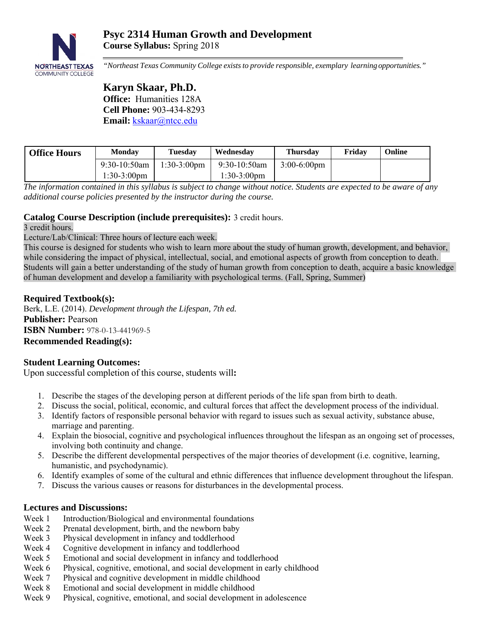

*"Northeast Texas Community College exists to provide responsible, exemplary learning opportunities."* 

# **Karyn Skaar, Ph.D. Office:** Humanities 128A **Cell Phone:** 903-434-8293 **Email:** kskaar@ntcc.edu

| <b>Office Hours</b> | <b>Monday</b>   | Tuesdav               | Wednesday             | <b>Thursdav</b>       | Fridav | Online |
|---------------------|-----------------|-----------------------|-----------------------|-----------------------|--------|--------|
|                     | $9:30-10:50$ am | $1:30-3:00 \text{pm}$ | $9:30-10:50$ am       | $3:00-6:00 \text{pm}$ |        |        |
|                     | 1:30-3:00pm     |                       | $\frac{1:30-3:00}{m}$ |                       |        |        |

*The information contained in this syllabus is subject to change without notice. Students are expected to be aware of any additional course policies presented by the instructor during the course.* 

## **Catalog Course Description (include prerequisites):** 3 credit hours.

3 credit hours.

Lecture/Lab/Clinical: Three hours of lecture each week.

This course is designed for students who wish to learn more about the study of human growth, development, and behavior, while considering the impact of physical, intellectual, social, and emotional aspects of growth from conception to death. Students will gain a better understanding of the study of human growth from conception to death, acquire a basic knowledge of human development and develop a familiarity with psychological terms. (Fall, Spring, Summer)

## **Required Textbook(s):**

Berk, L.E. (2014). *Development through the Lifespan, 7th ed.*  **Publisher:** Pearson **ISBN Number:** 978-0-13-441969-5 **Recommended Reading(s):**

# **Student Learning Outcomes:**

Upon successful completion of this course, students will**:** 

- 1. Describe the stages of the developing person at different periods of the life span from birth to death.
- 2. Discuss the social, political, economic, and cultural forces that affect the development process of the individual.
- 3. Identify factors of responsible personal behavior with regard to issues such as sexual activity, substance abuse, marriage and parenting.
- 4. Explain the biosocial, cognitive and psychological influences throughout the lifespan as an ongoing set of processes, involving both continuity and change.
- 5. Describe the different developmental perspectives of the major theories of development (i.e. cognitive, learning, humanistic, and psychodynamic).
- 6. Identify examples of some of the cultural and ethnic differences that influence development throughout the lifespan.
- 7. Discuss the various causes or reasons for disturbances in the developmental process.

# **Lectures and Discussions:**

- Week 1 Introduction/Biological and environmental foundations
- Week 2 Prenatal development, birth, and the newborn baby
- Week 3 Physical development in infancy and toddlerhood
- Week 4 Cognitive development in infancy and toddlerhood
- Week 5 Emotional and social development in infancy and toddlerhood
- Week 6 Physical, cognitive, emotional, and social development in early childhood
- Week 7 Physical and cognitive development in middle childhood
- Week 8 Emotional and social development in middle childhood
- Week 9 Physical, cognitive, emotional, and social development in adolescence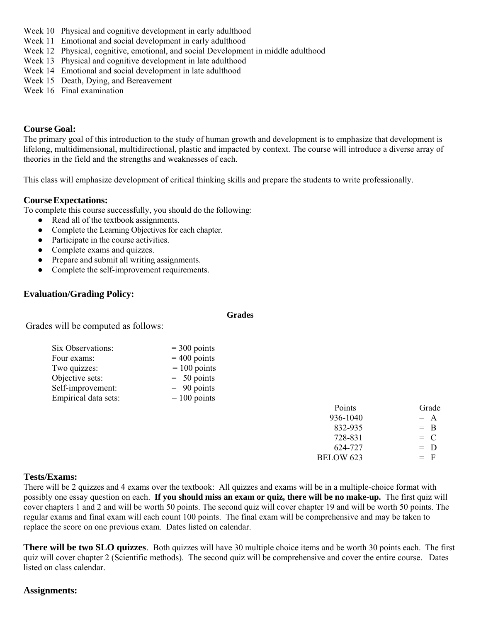- Week 10 Physical and cognitive development in early adulthood
- Week 11 Emotional and social development in early adulthood
- Week 12 Physical, cognitive, emotional, and social Development in middle adulthood
- Week 13 Physical and cognitive development in late adulthood
- Week 14 Emotional and social development in late adulthood
- Week 15 Death, Dying, and Bereavement
- Week 16 Final examination

# **Course Goal:**

The primary goal of this introduction to the study of human growth and development is to emphasize that development is lifelong, multidimensional, multidirectional, plastic and impacted by context. The course will introduce a diverse array of theories in the field and the strengths and weaknesses of each.

This class will emphasize development of critical thinking skills and prepare the students to write professionally.

#### **Course Expectations:**

To complete this course successfully, you should do the following:

- Read all of the textbook assignments.
- Complete the Learning Objectives for each chapter.
- Participate in the course activities.
- Complete exams and quizzes.
- Prepare and submit all writing assignments.
- Complete the self-improvement requirements.

## **Evaluation/Grading Policy:**

**Grades** 

Grades will be computed as follows:

| Six Observations:    | $=$ 300 points |
|----------------------|----------------|
| Four exams:          | $=$ 400 points |
| Two quizzes:         | $= 100$ points |
| Objective sets:      | $= 50$ points  |
| Self-improvement:    | $= 90$ points  |
| Empirical data sets: | $= 100$ points |

|  | Points           | Grade |
|--|------------------|-------|
|  |                  |       |
|  | 936-1040         | $= A$ |
|  | 832-935          | $=$ B |
|  | 728-831          | $= C$ |
|  | 624-727          | $= D$ |
|  | <b>BELOW 623</b> | $=$ F |

#### **Tests/Exams:**

There will be 2 quizzes and 4 exams over the textbook: All quizzes and exams will be in a multiple-choice format with possibly one essay question on each. **If you should miss an exam or quiz, there will be no make-up.** The first quiz will cover chapters 1 and 2 and will be worth 50 points. The second quiz will cover chapter 19 and will be worth 50 points. The regular exams and final exam will each count 100 points. The final exam will be comprehensive and may be taken to replace the score on one previous exam. Dates listed on calendar.

**There will be two SLO quizzes**. Both quizzes will have 30 multiple choice items and be worth 30 points each. The first quiz will cover chapter 2 (Scientific methods). The second quiz will be comprehensive and cover the entire course. Dates listed on class calendar.

#### **Assignments:**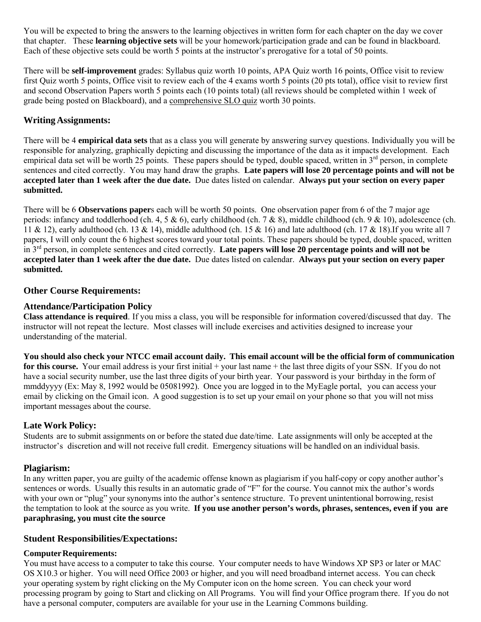You will be expected to bring the answers to the learning objectives in written form for each chapter on the day we cover that chapter. These **learning objective sets** will be your homework/participation grade and can be found in blackboard. Each of these objective sets could be worth 5 points at the instructor's prerogative for a total of 50 points.

There will be **self-improvement** grades: Syllabus quiz worth 10 points, APA Quiz worth 16 points, Office visit to review first Quiz worth 5 points, Office visit to review each of the 4 exams worth 5 points (20 pts total), office visit to review first and second Observation Papers worth 5 points each (10 points total) (all reviews should be completed within 1 week of grade being posted on Blackboard), and a comprehensive SLO quiz worth 30 points.

## **Writing Assignments:**

There will be 4 **empirical data sets** that as a class you will generate by answering survey questions. Individually you will be responsible for analyzing, graphically depicting and discussing the importance of the data as it impacts development. Each empirical data set will be worth 25 points. These papers should be typed, double spaced, written in 3<sup>rd</sup> person, in complete sentences and cited correctly. You may hand draw the graphs. **Late papers will lose 20 percentage points and will not be accepted later than 1 week after the due date.** Due dates listed on calendar. **Always put your section on every paper submitted.** 

There will be 6 **Observations paper**s each will be worth 50 points. One observation paper from 6 of the 7 major age periods: infancy and toddlerhood (ch. 4, 5 & 6), early childhood (ch. 7 & 8), middle childhood (ch. 9 & 10), adolescence (ch. 11 & 12), early adulthood (ch. 13 & 14), middle adulthood (ch. 15 & 16) and late adulthood (ch. 17 & 18). If you write all 7 papers, I will only count the 6 highest scores toward your total points. These papers should be typed, double spaced, written in 3rd person, in complete sentences and cited correctly. **Late papers will lose 20 percentage points and will not be accepted later than 1 week after the due date.** Due dates listed on calendar. **Always put your section on every paper submitted.** 

#### **Other Course Requirements:**

#### **Attendance/Participation Policy**

**Class attendance is required**. If you miss a class, you will be responsible for information covered/discussed that day. The instructor will not repeat the lecture. Most classes will include exercises and activities designed to increase your understanding of the material.

**You should also check your NTCC email account daily. This email account will be the official form of communication for this course.** Your email address is your first initial + your last name + the last three digits of your SSN. If you do not have a social security number, use the last three digits of your birth year. Your password is your birthday in the form of mmddyyyy (Ex: May 8, 1992 would be 05081992). Once you are logged in to the MyEagle portal, you can access your email by clicking on the Gmail icon. A good suggestion is to set up your email on your phone so that you will not miss important messages about the course.

#### **Late Work Policy:**

Students are to submit assignments on or before the stated due date/time. Late assignments will only be accepted at the instructor's discretion and will not receive full credit. Emergency situations will be handled on an individual basis.

#### **Plagiarism:**

In any written paper, you are guilty of the academic offense known as plagiarism if you half-copy or copy another author's sentences or words. Usually this results in an automatic grade of "F" for the course. You cannot mix the author's words with your own or "plug" your synonyms into the author's sentence structure. To prevent unintentional borrowing, resist the temptation to look at the source as you write. **If you use another person's words, phrases, sentences, even if you are paraphrasing, you must cite the source**

#### **Student Responsibilities/Expectations:**

#### **Computer Requirements:**

You must have access to a computer to take this course. Your computer needs to have Windows XP SP3 or later or MAC OS X10.3 or higher. You will need Office 2003 or higher, and you will need broadband internet access. You can check your operating system by right clicking on the My Computer icon on the home screen. You can check your word processing program by going to Start and clicking on All Programs. You will find your Office program there. If you do not have a personal computer, computers are available for your use in the Learning Commons building.